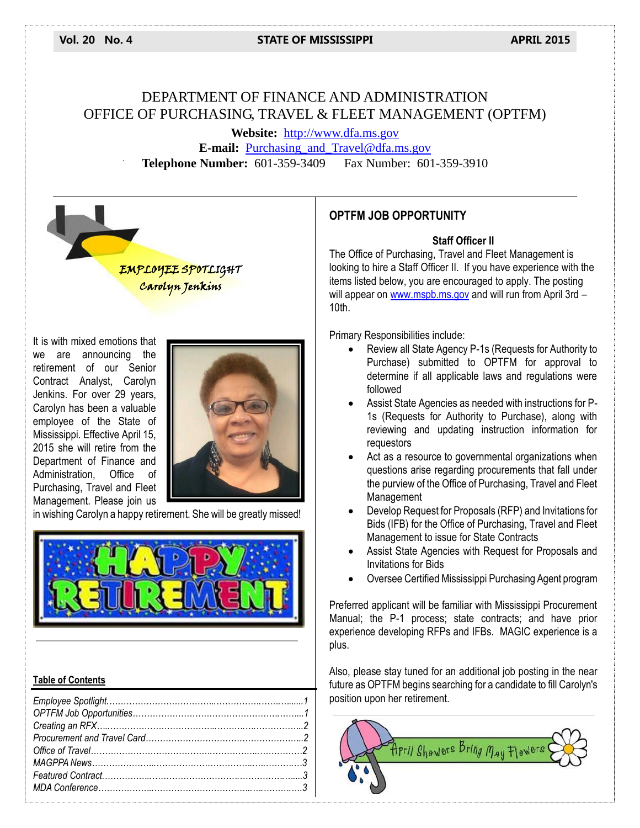#### **Vol. 20 No. 4 STATE OF MISSISSIPPI APRIL 2015**

# DEPARTMENT OF FINANCE AND ADMINISTRATION OFFICE OF PURCHASING, TRAVEL & FLEET MANAGEMENT (OPTFM)

**Website:** [http://www.dfa.ms.gov](http://www.dfa.ms.gov/) **E-mail:** [Purchasing\\_and\\_Travel@dfa.ms.gov](mailto:Purchasing_and_Travel@dfa.ms.gov) **Telephone Number:** 601-359-3409 Fax Number: 601-359-3910



It is with mixed emotions that we are announcing the retirement of our Senior Contract Analyst, Carolyn Jenkins. For over 29 years, Carolyn has been a valuable employee of the State of Mississippi. Effective April 15, 2015 she will retire from the Department of Finance and Administration, Office of Purchasing, Travel and Fleet Management. Please join us



in wishing Carolyn a happy retirement. She will be greatly missed!



#### **Table of Contents**

# **OPTFM JOB OPPORTUNITY**

#### **Staff Officer II**

The Office of Purchasing, Travel and Fleet Management is looking to hire a Staff Officer II. If you have experience with the items listed below, you are encouraged to apply. The posting will appear on [www.mspb.ms.gov](http://www.mspb.ms.gov/) and will run from April 3rd -10th.

Primary Responsibilities include:

- Review all State Agency P-1s (Requests for Authority to Purchase) submitted to OPTFM for approval to determine if all applicable laws and regulations were followed
- Assist State Agencies as needed with instructions for P-1s (Requests for Authority to Purchase), along with reviewing and updating instruction information for requestors
- Act as a resource to governmental organizations when questions arise regarding procurements that fall under the purview of the Office of Purchasing, Travel and Fleet Management
- Develop Request for Proposals (RFP) and Invitations for Bids (IFB) for the Office of Purchasing, Travel and Fleet Management to issue for State Contracts
- Assist State Agencies with Request for Proposals and Invitations for Bids
- Oversee Certified Mississippi Purchasing Agent program

Preferred applicant will be familiar with Mississippi Procurement Manual; the P-1 process; state contracts; and have prior experience developing RFPs and IFBs. MAGIC experience is a plus.

Also, please stay tuned for an additional job posting in the near future as OPTFM begins searching for a candidate to fill Carolyn's position upon her retirement.

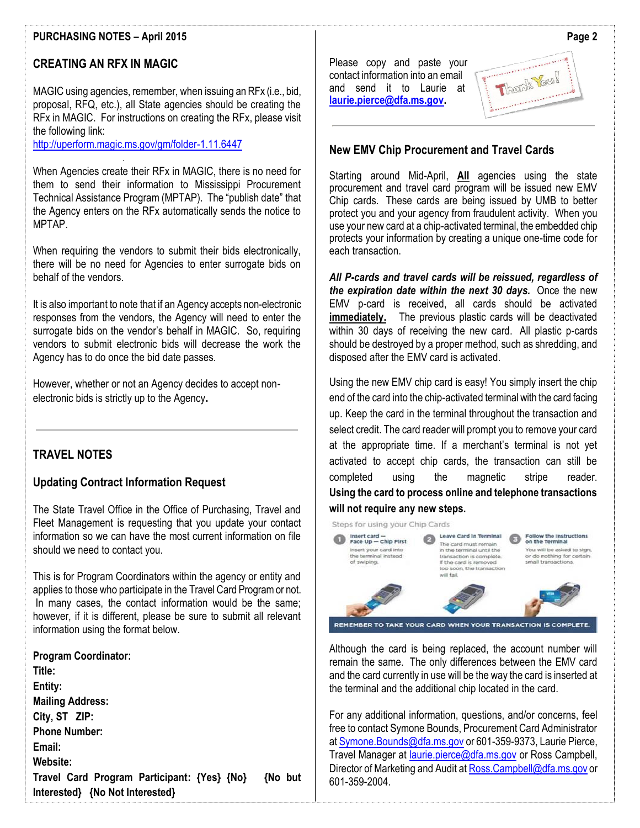## **PURCHASING NOTES – April 2015**

# **CREATING AN RFX IN MAGIC**

MAGIC using agencies, remember, when issuing an RFx (i.e., bid, proposal, RFQ, etc.), all State agencies should be creating the RFx in MAGIC. For instructions on creating the RFx, please visit the following link:

<http://uperform.magic.ms.gov/gm/folder-1.11.6447>

When Agencies create their RFx in MAGIC, there is no need for them to send their information to Mississippi Procurement Technical Assistance Program (MPTAP). The "publish date" that the Agency enters on the RFx automatically sends the notice to MPTAP.

When requiring the vendors to submit their bids electronically, there will be no need for Agencies to enter surrogate bids on behalf of the vendors.

It is also important to note that if an Agency accepts non-electronic responses from the vendors, the Agency will need to enter the surrogate bids on the vendor's behalf in MAGIC. So, requiring vendors to submit electronic bids will decrease the work the Agency has to do once the bid date passes.

However, whether or not an Agency decides to accept nonelectronic bids is strictly up to the Agency**.**

#### **TRAVEL NOTES**

#### **Updating Contract Information Request**

The State Travel Office in the Office of Purchasing, Travel and Fleet Management is requesting that you update your contact information so we can have the most current information on file should we need to contact you.

This is for Program Coordinators within the agency or entity and applies to those who participate in the Travel Card Program or not. In many cases, the contact information would be the same; however, if it is different, please be sure to submit all relevant information using the format below.

**Program Coordinator: Title: Entity: Mailing Address: City, ST ZIP: Phone Number: Email: Website: Travel Card Program Participant: {Yes} {No} {No but Interested} {No Not Interested}**

Please copy and paste your contact information into an email and send it to Laurie at **[laurie.pierce@dfa.ms.gov.](mailto:laurie.pierce@dfa.ms.gov)**



#### **New EMV Chip Procurement and Travel Cards**

Starting around Mid-April, **All** agencies using the state procurement and travel card program will be issued new EMV Chip cards. These cards are being issued by UMB to better protect you and your agency from fraudulent activity. When you use your new card at a chip-activated terminal, the embedded chip protects your information by creating a unique one-time code for each transaction.

*All P-cards and travel cards will be reissued, regardless of the expiration date within the next 30 days.* Once the new EMV p-card is received, all cards should be activated **immediately.** The previous plastic cards will be deactivated within 30 days of receiving the new card. All plastic p-cards should be destroyed by a proper method, such as shredding, and disposed after the EMV card is activated.

Using the new EMV chip card is easy! You simply insert the chip end of the card into the chip-activated terminal with the card facing up. Keep the card in the terminal throughout the transaction and select credit. The card reader will prompt you to remove your card at the appropriate time. If a merchant's terminal is not yet activated to accept chip cards, the transaction can still be completed using the magnetic stripe reader. **Using the card to process online and telephone transactions will not require any new steps.**



Although the card is being replaced, the account number will remain the same. The only differences between the EMV card and the card currently in use will be the way the card is inserted at the terminal and the additional chip located in the card.

For any additional information, questions, and/or concerns, feel free to contact Symone Bounds, Procurement Card Administrator a[t Symone.Bounds@dfa.ms.gov](mailto:Symone.Bounds@dfa.ms.gov) or 601-359-9373, Laurie Pierce, Travel Manager at [laurie.pierce@dfa.ms.gov](mailto:laurie.pierce@dfa.ms.gov) or Ross Campbell, Director of Marketing and Audit a[t Ross.Campbell@dfa.ms.gov](mailto:Ross.Campbell@dfa.ms.gov) or 601-359-2004.

**Page 2**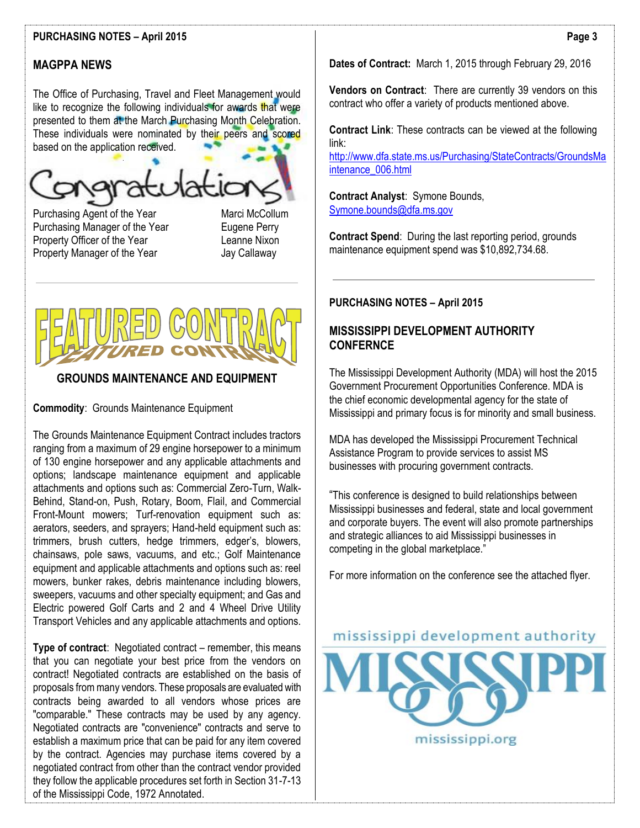#### **PURCHASING NOTES – April 2015**

# **MAGPPA NEWS**

The Office of Purchasing, Travel and Fleet Management would like to recognize the following individuals for awards that were presented to them at the March Purchasing Month Celebration. These individuals were nominated by their peers and scored based on the application received.

í

Purchasing Agent of the Year Marci McCollum Purchasing Manager of the Year Eugene Perry Property Officer of the Year **Leanne Nixon** Property Manager of the Year **Jay Callaway** 



# **GROUNDS MAINTENANCE AND EQUIPMENT**

**Commodity**: Grounds Maintenance Equipment

The Grounds Maintenance Equipment Contract includes tractors ranging from a maximum of 29 engine horsepower to a minimum of 130 engine horsepower and any applicable attachments and options; landscape maintenance equipment and applicable attachments and options such as: Commercial Zero-Turn, Walk-Behind, Stand-on, Push, Rotary, Boom, Flail, and Commercial Front-Mount mowers; Turf-renovation equipment such as: aerators, seeders, and sprayers; Hand-held equipment such as: trimmers, brush cutters, hedge trimmers, edger's, blowers, chainsaws, pole saws, vacuums, and etc.; Golf Maintenance equipment and applicable attachments and options such as: reel mowers, bunker rakes, debris maintenance including blowers, sweepers, vacuums and other specialty equipment; and Gas and Electric powered Golf Carts and 2 and 4 Wheel Drive Utility Transport Vehicles and any applicable attachments and options.

**Type of contract**: Negotiated contract – remember, this means that you can negotiate your best price from the vendors on contract! Negotiated contracts are established on the basis of proposals from many vendors. These proposals are evaluated with contracts being awarded to all vendors whose prices are "comparable." These contracts may be used by any agency. Negotiated contracts are "convenience" contracts and serve to establish a maximum price that can be paid for any item covered by the contract. Agencies may purchase items covered by a negotiated contract from other than the contract vendor provided they follow the applicable procedures set forth in Section 31-7-13 of the Mississippi Code, 1972 Annotated.

**Dates of Contract:** March 1, 2015 through February 29, 2016

**Vendors on Contract**: There are currently 39 vendors on this contract who offer a variety of products mentioned above.

**Contract Link**: These contracts can be viewed at the following link:

[http://www.dfa.state.ms.us/Purchasing/StateContracts/GroundsMa](http://www.dfa.state.ms.us/Purchasing/StateContracts/GroundsMaintenance_006.html) [intenance\\_006.html](http://www.dfa.state.ms.us/Purchasing/StateContracts/GroundsMaintenance_006.html)

**Contract Analyst**: Symone Bounds, [Symone.bounds@dfa.ms.gov](mailto:Symone.bounds@dfa.ms.gov)

**Contract Spend**: During the last reporting period, grounds maintenance equipment spend was \$10,892,734.68.

#### **PURCHASING NOTES – April 2015**

## **MISSISSIPPI DEVELOPMENT AUTHORITY CONFERNCE**

The Mississippi Development Authority (MDA) will host the 2015 Government Procurement Opportunities Conference. MDA is the chief economic developmental agency for the state of Mississippi and primary focus is for minority and small business.

MDA has developed the Mississippi Procurement Technical Assistance Program to provide services to assist MS businesses with procuring government contracts.

"This conference is designed to build relationships between Mississippi businesses and federal, state and local government and corporate buyers. The event will also promote partnerships and strategic alliances to aid Mississippi businesses in competing in the global marketplace."

For more information on the conference see the attached flyer.

mississippi development authority

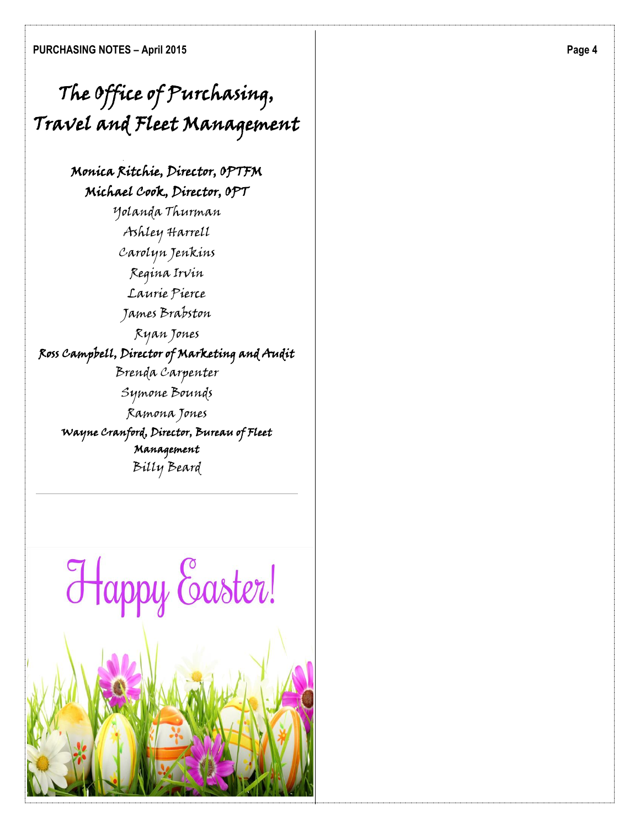# The Office of Purchasing, Travel and Fleet Management

# Monica Ritchie, Director, OPTFM Michael Cook, Director, OPT

Yolanda Thurman Ashley Harrell Carolyn Jenkins Regina Irvin Laurie Pierce James Brabston Ryan Jones Ross Campbell, Director of Marketing and Audit Brenda Carpenter Symone Bounds Ramona Jones Wayne Cranford, Director, Bureau of Fleet Management Billy Beard